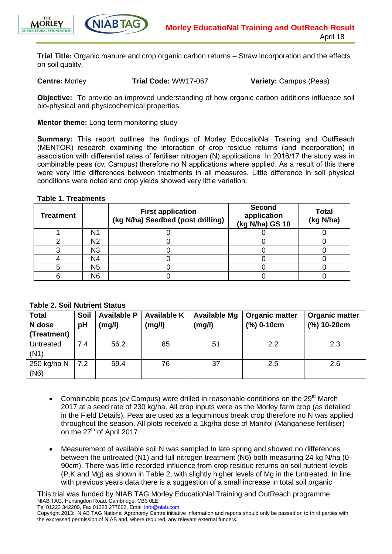



**Trial Title:** Organic manure and crop organic carbon returns – Straw incorporation and the effects on soil quality.

**Centre:** Morley **Trial Code:** WW17-067 **Variety:** Campus (Peas)

 $\overline{\phantom{a}}$ 

**Objective:** To provide an improved understanding of how organic carbon additions influence soil bio-physical and physicochemical properties.

### **Mentor theme:** Long-term monitoring study

**Summary:** This report outlines the findings of Morley EducatioNal Training and OutReach (MENTOR) research examining the interaction of crop residue returns (and incorporation) in association with differential rates of fertiliser nitrogen (N) applications. In 2016/17 the study was in combinable peas (cv. Campus) therefore no N applications where applied. As a result of this there were very little differences between treatments in all measures. Little difference in soil physical conditions were noted and crop yields showed very little variation.

### **Table 1. Treatments**

| <b>Treatment</b> |                | <b>First application</b><br>(kg N/ha) Seedbed (post drilling) | <b>Second</b><br>application<br>(kg N/ha) GS 10 | <b>Total</b><br>(kg N/ha) |
|------------------|----------------|---------------------------------------------------------------|-------------------------------------------------|---------------------------|
|                  | N1             |                                                               |                                                 |                           |
|                  | N2             |                                                               |                                                 |                           |
|                  | N3             |                                                               |                                                 |                           |
|                  | N4             |                                                               |                                                 |                           |
|                  | N <sub>5</sub> |                                                               |                                                 |                           |
|                  | N6             |                                                               |                                                 |                           |

### **Table 2. Soil Nutrient Status**

| <b>Total</b> | Soil | <b>Available P</b> | <b>Available K</b> | <b>Available Mg</b> | <b>Organic matter</b> | <b>Organic matter</b> |
|--------------|------|--------------------|--------------------|---------------------|-----------------------|-----------------------|
| N dose       | pH   | (mg/l)             | (mg/l)             | (mg/l)              | $(%) 0-10cm$          | $(%) 10-20cm$         |
| (Treatment)  |      |                    |                    |                     |                       |                       |
| Untreated    | 7.4  | 56.2               | 85                 | 51                  | 2.2                   | 2.3                   |
| (N1)         |      |                    |                    |                     |                       |                       |
| 250 kg/ha N  | 7.2  | 59.4               | 76                 | 37                  | 2.5                   | 2.6                   |
| (N6)         |      |                    |                    |                     |                       |                       |

- Combinable peas (cv Campus) were drilled in reasonable conditions on the  $29<sup>th</sup>$  March 2017 at a seed rate of 230 kg/ha. All crop inputs were as the Morley farm crop (as detailed in the Field Details). Peas are used as a leguminous break crop therefore no N was applied throughout the season. All plots received a 1kg/ha dose of Manifol (Manganese fertiliser) on the 27<sup>th</sup> of April 2017.
- Measurement of available soil N was sampled In late spring and showed no differences between the untreated (N1) and full nitrogen treatment (N6) both measuring 24 kg N/ha (0-90cm). There was little recorded influence from crop residue returns on soil nutrient levels (P,K and Mg) as shown in Table 2, with slightly higher levels of Mg in the Untreated. In line with previous years data there is a suggestion of a small increase in total soil organic

This trial was funded by NIAB TAG Morley EducatioNal Training and OutReach programme NIAB TAG, Huntingdon Road, Cambridge, CB3 0LE

Tel 01223 342200, Fax 01223 277602, Email [info@niab.com](mailto:info@niab.com)

Copyright 2013: NIAB TAG National Agronomy Centre initiative information and reports should only be passed on to third parties with the expressed permission of NIAB and, where required, any relevant external funders.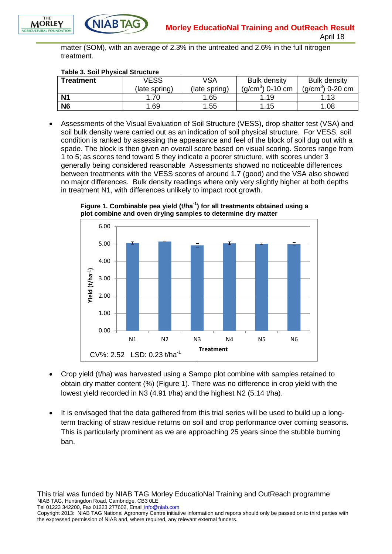

matter (SOM), with an average of 2.3% in the untreated and 2.6% in the full nitrogen treatment.

#### **Table 3. Soil Physical Structure**

**NIABTA** 

| <b>Treatment</b> | VESS          | VSA           | <b>Bulk density</b>  | <b>Bulk density</b>  |
|------------------|---------------|---------------|----------------------|----------------------|
|                  | (late spring) | (late spring) | $(q/cm^{3})$ 0-10 cm | $(q/cm^{3})$ 0-20 cm |
| N <sub>1</sub>   | .70           | .65           | .19                  | 1.13                 |
| <b>N6</b>        | .69           | .55           | .15                  | 1.08                 |

 Assessments of the Visual Evaluation of Soil Structure (VESS), drop shatter test (VSA) and soil bulk density were carried out as an indication of soil physical structure. For VESS, soil condition is ranked by assessing the appearance and feel of the block of soil dug out with a spade. The block is then given an overall score based on visual scoring. Scores range from 1 to 5; as scores tend toward 5 they indicate a poorer structure, with scores under 3 generally being considered reasonable Assessments showed no noticeable differences between treatments with the VESS scores of around 1.7 (good) and the VSA also showed no major differences. Bulk density readings where only very slightly higher at both depths in treatment N1, with differences unlikely to impact root growth.



**Figure 1. Combinable pea yield (t/ha-1 ) for all treatments obtained using a plot combine and oven drying samples to determine dry matter**

- Crop yield (t/ha) was harvested using a Sampo plot combine with samples retained to obtain dry matter content (%) (Figure 1). There was no difference in crop yield with the lowest yield recorded in N3 (4.91 t/ha) and the highest N2 (5.14 t/ha).
- It is envisaged that the data gathered from this trial series will be used to build up a longterm tracking of straw residue returns on soil and crop performance over coming seasons. This is particularly prominent as we are approaching 25 years since the stubble burning ban.

This trial was funded by NIAB TAG Morley EducatioNal Training and OutReach programme NIAB TAG, Huntingdon Road, Cambridge, CB3 0LE

Tel 01223 342200, Fax 01223 277602, Email [info@niab.com](mailto:info@niab.com)

Copyright 2013: NIAB TAG National Agronomy Centre initiative information and reports should only be passed on to third parties with the expressed permission of NIAB and, where required, any relevant external funders.